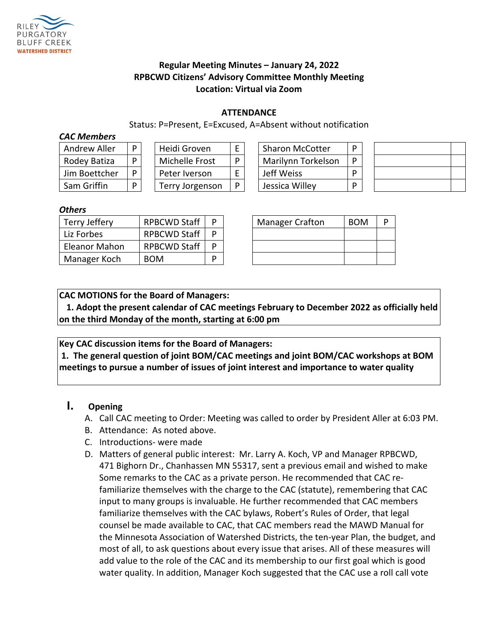

## **Regular Meeting Minutes – January 24, 2022 RPBCWD Citizens' Advisory Committee Monthly Meeting Location: Virtual via Zoom**

#### **ATTENDANCE**

Status: P=Present, E=Excused, A=Absent without notification

#### *CAC Members*

| <b>Andrew Aller</b> |   |  |  |
|---------------------|---|--|--|
| Rodey Batiza        |   |  |  |
| Jim Boettcher       | D |  |  |
| Sam Griffin         |   |  |  |

| Heidi Groven    |  |  |  |  |
|-----------------|--|--|--|--|
| Michelle Frost  |  |  |  |  |
| Peter Iverson   |  |  |  |  |
| Terry Jorgenson |  |  |  |  |

| Andrew Aller  | D | Heidi Groven    |   | <b>Sharon McCotter</b> |  |
|---------------|---|-----------------|---|------------------------|--|
| Rodey Batiza  | D | Michelle Frost  | D | Marilynn Torkelson     |  |
| Jim Boettcher | D | Peter Iverson   |   | Jeff Weiss             |  |
| Sam Griffin   | D | Terry Jorgenson | P | Jessica Willey         |  |

#### *Others*

| Terry Jeffery | <b>RPBCWD Staff</b> |  | <b>Manager Crafton</b> | <b>BOM</b> | D |
|---------------|---------------------|--|------------------------|------------|---|
| Liz Forbes    | <b>RPBCWD Staff</b> |  |                        |            |   |
| Eleanor Mahon | <b>RPBCWD Staff</b> |  |                        |            |   |
| Manager Koch  | <b>BOM</b>          |  |                        |            |   |

| <b>Manager Crafton</b> | <b>BOM</b> | D |
|------------------------|------------|---|
|                        |            |   |
|                        |            |   |
|                        |            |   |

**CAC MOTIONS for the Board of Managers:** 

**1. Adopt the present calendar of CAC meetings February to December 2022 as officially held on the third Monday of the month, starting at 6:00 pm**

**Key CAC discussion items for the Board of Managers:**

**1. The general question of joint BOM/CAC meetings and joint BOM/CAC workshops at BOM meetings to pursue a number of issues of joint interest and importance to water quality**

## **I. Opening**

- A. Call CAC meeting to Order: Meeting was called to order by President Aller at 6:03 PM.
- B. Attendance: As noted above.
- C. Introductions- were made
- D. Matters of general public interest: Mr. Larry A. Koch, VP and Manager RPBCWD, 471 Bighorn Dr., Chanhassen MN 55317, sent a previous email and wished to make Some remarks to the CAC as a private person. He recommended that CAC refamiliarize themselves with the charge to the CAC (statute), remembering that CAC input to many groups is invaluable. He further recommended that CAC members familiarize themselves with the CAC bylaws, Robert's Rules of Order, that legal counsel be made available to CAC, that CAC members read the MAWD Manual for the Minnesota Association of Watershed Districts, the ten-year Plan, the budget, and most of all, to ask questions about every issue that arises. All of these measures will add value to the role of the CAC and its membership to our first goal which is good water quality. In addition, Manager Koch suggested that the CAC use a roll call vote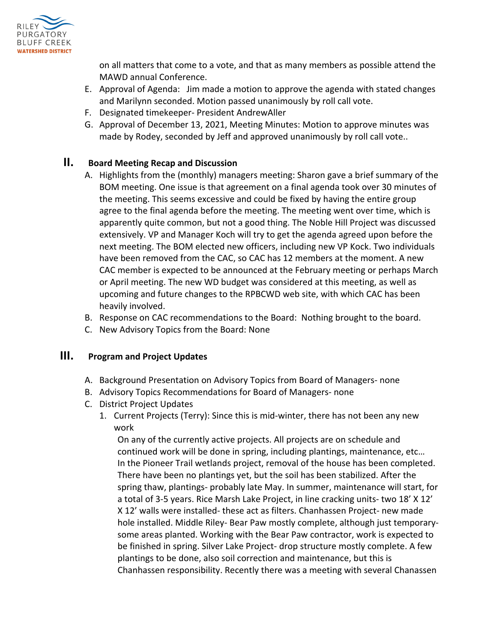

on all matters that come to a vote, and that as many members as possible attend the MAWD annual Conference.

- E. Approval of Agenda: Jim made a motion to approve the agenda with stated changes and Marilynn seconded. Motion passed unanimously by roll call vote.
- F. Designated timekeeper- President AndrewAller
- G. Approval of December 13, 2021, Meeting Minutes: Motion to approve minutes was made by Rodey, seconded by Jeff and approved unanimously by roll call vote..

## **II. Board Meeting Recap and Discussion**

- A. Highlights from the (monthly) managers meeting: Sharon gave a brief summary of the BOM meeting. One issue is that agreement on a final agenda took over 30 minutes of the meeting. This seems excessive and could be fixed by having the entire group agree to the final agenda before the meeting. The meeting went over time, which is apparently quite common, but not a good thing. The Noble Hill Project was discussed extensively. VP and Manager Koch will try to get the agenda agreed upon before the next meeting. The BOM elected new officers, including new VP Kock. Two individuals have been removed from the CAC, so CAC has 12 members at the moment. A new CAC member is expected to be announced at the February meeting or perhaps March or April meeting. The new WD budget was considered at this meeting, as well as upcoming and future changes to the RPBCWD web site, with which CAC has been heavily involved.
- B. Response on CAC recommendations to the Board: Nothing brought to the board.
- C. New Advisory Topics from the Board: None

## **III. Program and Project Updates**

- A. Background Presentation on Advisory Topics from Board of Managers- none
- B. Advisory Topics Recommendations for Board of Managers- none
- C. District Project Updates
	- 1. Current Projects (Terry): Since this is mid-winter, there has not been any new work

On any of the currently active projects. All projects are on schedule and continued work will be done in spring, including plantings, maintenance, etc… In the Pioneer Trail wetlands project, removal of the house has been completed. There have been no plantings yet, but the soil has been stabilized. After the spring thaw, plantings- probably late May. In summer, maintenance will start, for a total of 3-5 years. Rice Marsh Lake Project, in line cracking units- two 18' X 12' X 12' walls were installed- these act as filters. Chanhassen Project- new made hole installed. Middle Riley- Bear Paw mostly complete, although just temporarysome areas planted. Working with the Bear Paw contractor, work is expected to be finished in spring. Silver Lake Project- drop structure mostly complete. A few plantings to be done, also soil correction and maintenance, but this is Chanhassen responsibility. Recently there was a meeting with several Chanassen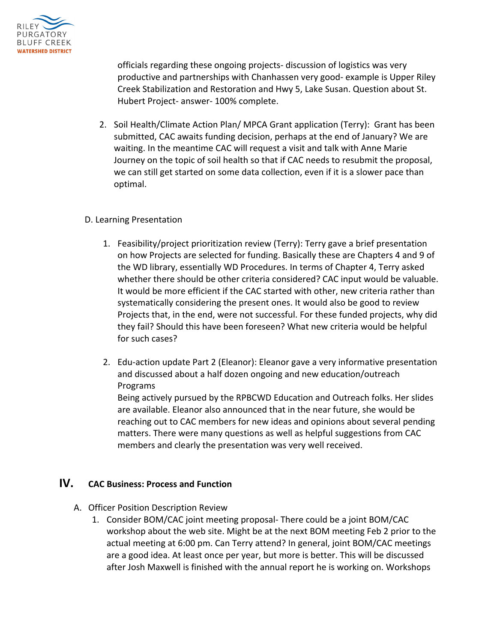

officials regarding these ongoing projects- discussion of logistics was very productive and partnerships with Chanhassen very good- example is Upper Riley Creek Stabilization and Restoration and Hwy 5, Lake Susan. Question about St. Hubert Project- answer- 100% complete.

2. Soil Health/Climate Action Plan/ MPCA Grant application (Terry): Grant has been submitted, CAC awaits funding decision, perhaps at the end of January? We are waiting. In the meantime CAC will request a visit and talk with Anne Marie Journey on the topic of soil health so that if CAC needs to resubmit the proposal, we can still get started on some data collection, even if it is a slower pace than optimal.

#### D. Learning Presentation

- 1. Feasibility/project prioritization review (Terry): Terry gave a brief presentation on how Projects are selected for funding. Basically these are Chapters 4 and 9 of the WD library, essentially WD Procedures. In terms of Chapter 4, Terry asked whether there should be other criteria considered? CAC input would be valuable. It would be more efficient if the CAC started with other, new criteria rather than systematically considering the present ones. It would also be good to review Projects that, in the end, were not successful. For these funded projects, why did they fail? Should this have been foreseen? What new criteria would be helpful for such cases?
- 2. Edu-action update Part 2 (Eleanor): Eleanor gave a very informative presentation and discussed about a half dozen ongoing and new education/outreach Programs

Being actively pursued by the RPBCWD Education and Outreach folks. Her slides are available. Eleanor also announced that in the near future, she would be reaching out to CAC members for new ideas and opinions about several pending matters. There were many questions as well as helpful suggestions from CAC members and clearly the presentation was very well received.

## **IV. CAC Business: Process and Function**

- A. Officer Position Description Review
	- 1. Consider BOM/CAC joint meeting proposal- There could be a joint BOM/CAC workshop about the web site. Might be at the next BOM meeting Feb 2 prior to the actual meeting at 6:00 pm. Can Terry attend? In general, joint BOM/CAC meetings are a good idea. At least once per year, but more is better. This will be discussed after Josh Maxwell is finished with the annual report he is working on. Workshops